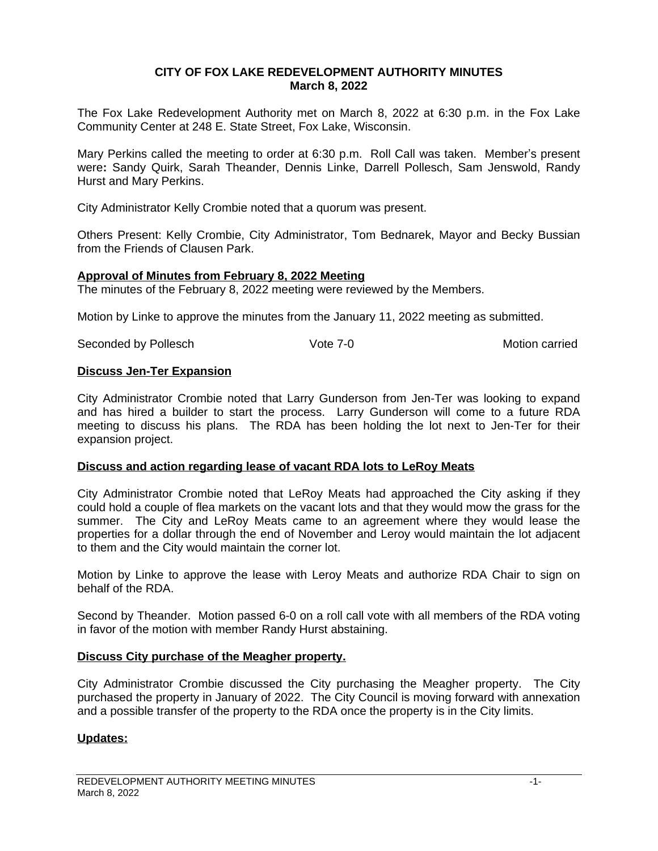## **CITY OF FOX LAKE REDEVELOPMENT AUTHORITY MINUTES March 8, 2022**

The Fox Lake Redevelopment Authority met on March 8, 2022 at 6:30 p.m. in the Fox Lake Community Center at 248 E. State Street, Fox Lake, Wisconsin.

Mary Perkins called the meeting to order at 6:30 p.m. Roll Call was taken. Member's present were**:** Sandy Quirk, Sarah Theander, Dennis Linke, Darrell Pollesch, Sam Jenswold, Randy Hurst and Mary Perkins.

City Administrator Kelly Crombie noted that a quorum was present.

Others Present: Kelly Crombie, City Administrator, Tom Bednarek, Mayor and Becky Bussian from the Friends of Clausen Park.

### **Approval of Minutes from February 8, 2022 Meeting**

The minutes of the February 8, 2022 meeting were reviewed by the Members.

Motion by Linke to approve the minutes from the January 11, 2022 meeting as submitted.

Seconded by Pollesch **Vote 7-0** Vote 7-0 Motion carried

### **Discuss Jen-Ter Expansion**

City Administrator Crombie noted that Larry Gunderson from Jen-Ter was looking to expand and has hired a builder to start the process. Larry Gunderson will come to a future RDA meeting to discuss his plans. The RDA has been holding the lot next to Jen-Ter for their expansion project.

# **Discuss and action regarding lease of vacant RDA lots to LeRoy Meats**

City Administrator Crombie noted that LeRoy Meats had approached the City asking if they could hold a couple of flea markets on the vacant lots and that they would mow the grass for the summer. The City and LeRoy Meats came to an agreement where they would lease the properties for a dollar through the end of November and Leroy would maintain the lot adjacent to them and the City would maintain the corner lot.

Motion by Linke to approve the lease with Leroy Meats and authorize RDA Chair to sign on behalf of the RDA.

Second by Theander. Motion passed 6-0 on a roll call vote with all members of the RDA voting in favor of the motion with member Randy Hurst abstaining.

#### **Discuss City purchase of the Meagher property.**

City Administrator Crombie discussed the City purchasing the Meagher property. The City purchased the property in January of 2022. The City Council is moving forward with annexation and a possible transfer of the property to the RDA once the property is in the City limits.

# **Updates:**